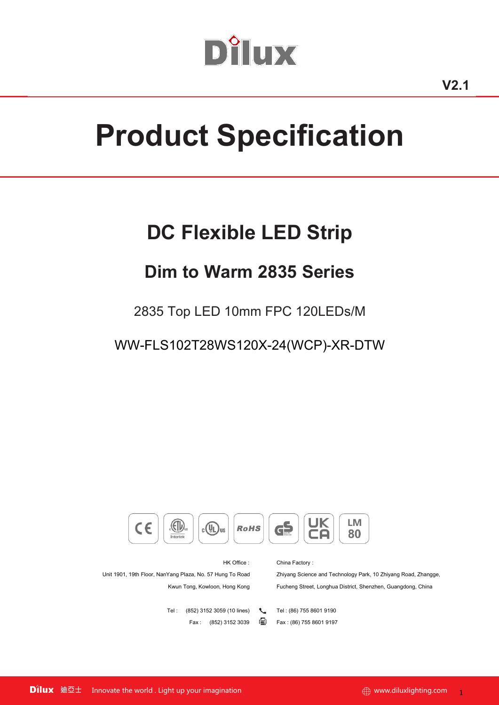# Dîlux

# **Product Specification**

## **DC Flexible LED Strip**

## **Dim to Warm 2835 Series**

2835 Top LED 10mm FPC 120LEDs/M

WW-FLS102T28WS120X-24(WCP)-XR-DTW

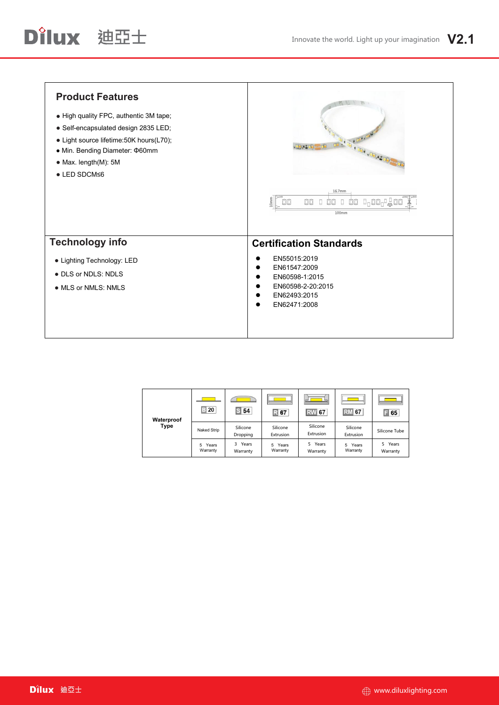| <b>Product Features</b><br>. High quality FPC, authentic 3M tape;<br>· Self-encapsulated design 2835 LED;<br>• Light source lifetime: 50K hours (L70);<br>• Min. Bending Diameter: ¢60mm<br>• Max. length(M): 5M<br>$\bullet$ LED SDCM $\leq$ 6 | <b>Chatter</b><br>16.7mm<br>$10 \mathrm{mm}$<br>$\Box$ oo $_1$ $\Box$ oo<br>O<br>OO<br>00<br>00<br>oo<br>100mm                        |
|-------------------------------------------------------------------------------------------------------------------------------------------------------------------------------------------------------------------------------------------------|---------------------------------------------------------------------------------------------------------------------------------------|
| <b>Technology info</b><br>• Lighting Technology: LED<br>• DLS or NDLS: NDLS<br>• MLS or NMLS: NMLS                                                                                                                                              | <b>Certification Standards</b><br>EN55015:2019<br>EN61547:2009<br>EN60598-1:2015<br>EN60598-2-20:2015<br>EN62493:2015<br>EN62471:2008 |

| Waterproof | <b>Contract</b><br>$\Xi$ 20 | S <sub>54</sub>        | $\mathbb{R}$ 67       | <b>RW</b> 67            | <b>RM</b> 67          | $\Box$ 65           |
|------------|-----------------------------|------------------------|-----------------------|-------------------------|-----------------------|---------------------|
| Type       | Naked Strip                 | Silicone<br>Dropping   | Silicone<br>Extrusion | Silicone<br>Extrusion   | Silicone<br>Extrusion | Silicone Tube       |
|            | Years<br>5<br>Warranty      | Years<br>3<br>Warranty | 5 Years<br>Warranty   | Years<br>5.<br>Warranty | 5 Years<br>Warranty   | 5 Years<br>Warranty |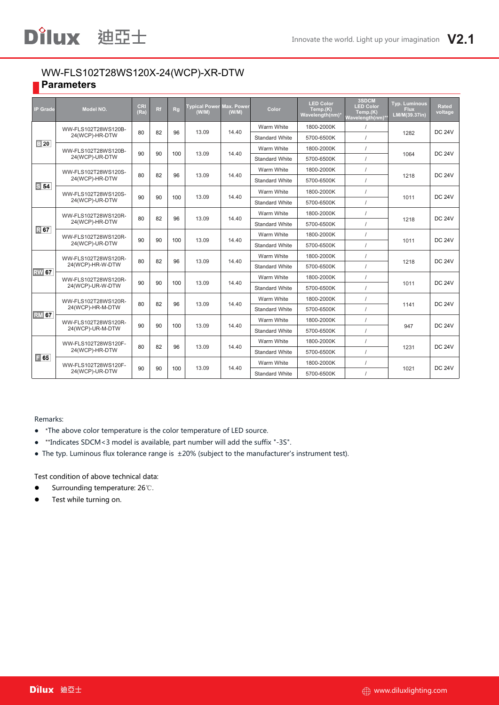#### WW-FLS102T28WS120X-24(WCP)-XR-DTW **Parameters**

| <b>IP Grade</b>                                     | Model NO.                             | CRI<br>(Ra) | Rf | Rg  | <b>Typical Power</b><br>(W/W) | <b>Max. Power</b><br>(W/M) | Color                 | <b>LED Color</b><br>Temp.(K)<br>Wavelength(nm)* | 3SDCM<br><b>LED Color</b><br>Temp(K)<br>Wavelength(nm) | Typ. Luminous<br><b>Flux</b><br>LM/M(39.37in) | Rated<br>voltage |  |
|-----------------------------------------------------|---------------------------------------|-------------|----|-----|-------------------------------|----------------------------|-----------------------|-------------------------------------------------|--------------------------------------------------------|-----------------------------------------------|------------------|--|
|                                                     | WW-FLS102T28WS120B-                   | 80          |    |     |                               |                            | Warm White            | 1800-2000K                                      | $\prime$                                               |                                               | <b>DC 24V</b>    |  |
|                                                     | 24(WCP)-HR-DTW                        |             | 82 | 96  | 13.09                         | 14.40                      | <b>Standard White</b> | 5700-6500K                                      | $\prime$                                               | 1282                                          |                  |  |
| $\boxed{3}$ 20                                      | WW-FLS102T28WS120B-                   |             |    |     |                               |                            | Warm White            | 1800-2000K                                      | $\prime$                                               |                                               | <b>DC 24V</b>    |  |
|                                                     | 24(WCP)-UR-DTW                        | 90          | 90 | 100 | 13.09                         | 14.40                      | <b>Standard White</b> | 5700-6500K                                      |                                                        | 1064                                          |                  |  |
|                                                     | WW-FLS102T28WS120S-                   |             |    |     |                               |                            | Warm White            | 1800-2000K                                      | $\prime$                                               |                                               |                  |  |
| S <sub>54</sub>                                     | 24(WCP)-HR-DTW                        | 80          | 82 | 96  | 13.09                         | 14.40                      | <b>Standard White</b> | 5700-6500K                                      | $\prime$                                               | 1218                                          | <b>DC 24V</b>    |  |
|                                                     | WW-FLS102T28WS120S-                   |             |    |     |                               |                            | Warm White            | 1800-2000K                                      | $\prime$                                               |                                               | <b>DC 24V</b>    |  |
|                                                     | 24(WCP)-UR-DTW                        | 90          | 90 | 100 | 13.09                         | 14.40                      | <b>Standard White</b> | 5700-6500K                                      | $\prime$                                               | 1011                                          |                  |  |
| WW-FLS102T28WS120R-<br>24(WCP)-HR-DTW<br><b>R67</b> |                                       | 80          |    | 96  | 13.09                         | 14.40                      | Warm White            | 1800-2000K                                      |                                                        |                                               | <b>DC 24V</b>    |  |
|                                                     |                                       |             | 82 |     |                               |                            | <b>Standard White</b> | 5700-6500K                                      |                                                        | 1218                                          |                  |  |
|                                                     | WW-FLS102T28WS120R-<br>24(WCP)-UR-DTW | 90          | 90 | 100 | 13.09                         | 14.40                      | Warm White            | 1800-2000K                                      |                                                        |                                               | <b>DC 24V</b>    |  |
|                                                     |                                       |             |    |     |                               |                            | <b>Standard White</b> | 5700-6500K                                      |                                                        | 1011                                          |                  |  |
|                                                     | WW-FLS102T28WS120R-                   | 80          | 82 | 96  | 13.09                         | 14.40                      | Warm White            | 1800-2000K                                      |                                                        |                                               | <b>DC 24V</b>    |  |
| <b>RW</b> 67                                        | 24(WCP)-HR-W-DTW                      |             |    |     |                               |                            | <b>Standard White</b> | 5700-6500K                                      |                                                        | 1218                                          |                  |  |
|                                                     | WW-FLS102T28WS120R-                   | 90          | 90 | 100 | 13.09                         | 14.40                      | Warm White            | 1800-2000K                                      | $\prime$                                               | 1011                                          | <b>DC 24V</b>    |  |
|                                                     | 24(WCP)-UR-W-DTW                      |             |    |     |                               |                            | <b>Standard White</b> | 5700-6500K                                      |                                                        |                                               |                  |  |
|                                                     | WW-FLS102T28WS120R-                   | 80          | 82 | 96  | 13.09                         | 14.40                      | Warm White            | 1800-2000K                                      | $\prime$                                               | 1141                                          | <b>DC 24V</b>    |  |
| <b>RM</b> 67                                        | 24(WCP)-HR-M-DTW                      |             |    |     |                               |                            |                       | <b>Standard White</b>                           | 5700-6500K                                             |                                               |                  |  |
|                                                     | WW-FLS102T28WS120R-                   | 90          | 90 | 100 | 13.09                         | 14.40                      | Warm White            | 1800-2000K                                      |                                                        | 947                                           | <b>DC 24V</b>    |  |
|                                                     | 24(WCP)-UR-M-DTW                      |             |    |     |                               |                            | <b>Standard White</b> | 5700-6500K                                      | $\prime$                                               |                                               |                  |  |
|                                                     | WW-FLS102T28WS120F-                   | 80          | 82 | 96  | 13.09                         | 14.40                      | Warm White            | 1800-2000K                                      |                                                        | 1231                                          | <b>DC 24V</b>    |  |
| $\boxed{ }$ 65                                      | 24(WCP)-HR-DTW                        |             |    |     |                               |                            | <b>Standard White</b> | 5700-6500K                                      | $\prime$                                               |                                               |                  |  |
|                                                     | WW-FLS102T28WS120F-                   | 90          | 90 | 100 | 13.09                         | 14.40                      | Warm White            | 1800-2000K                                      | $\prime$                                               | 1021                                          | <b>DC 24V</b>    |  |
|                                                     | 24(WCP)-UR-DTW                        |             |    |     |                               |                            | <b>Standard White</b> | 5700-6500K                                      |                                                        |                                               |                  |  |

#### Remarks:

- \*The above color temperature is the color temperature of LED source.
- \*\*Indicates SDCM<3 model is available, part number will add the suffix "-3S".
- The typ. Luminous flux tolerance range is ±20% (subject to the manufacturer's instrument test).

Test condition of above technical data:

- Surrounding temperature: 26℃.
- **•** Test while turning on.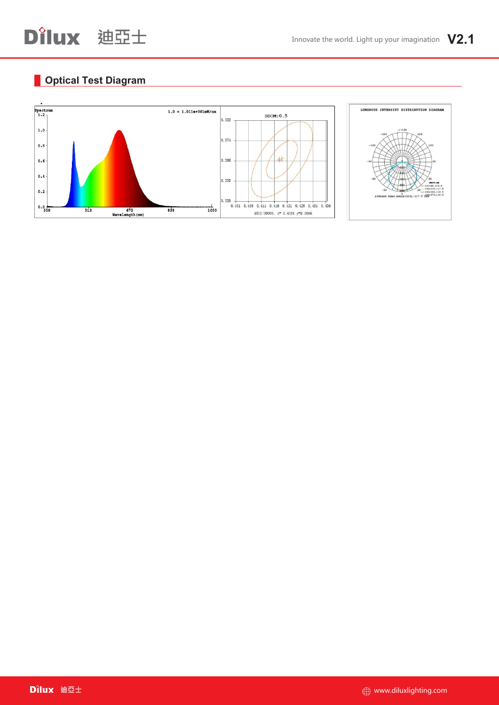#### **Optical Test Diagram**

D'ilux 迪亞士

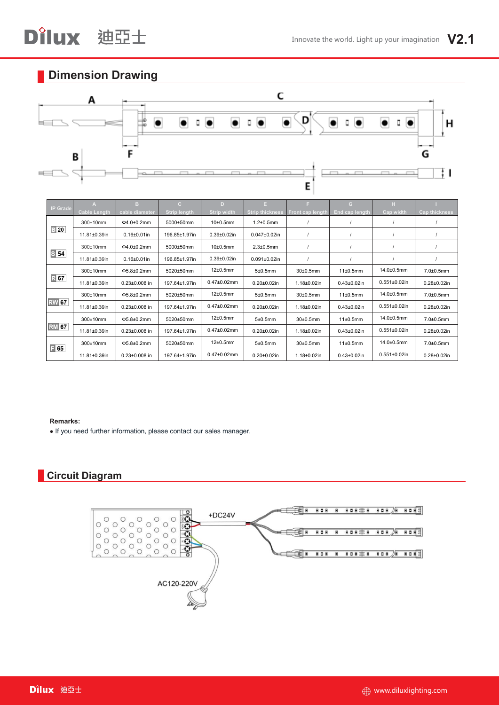# D'ilux 迪亞士

### **Dimension Drawing**



| <b>IP Grade</b> | $\mathbf{A}$        | B.                  | $\mathbf{C}$        | D                  | Е.                     | F.                 | G                     | н.                  |                    |
|-----------------|---------------------|---------------------|---------------------|--------------------|------------------------|--------------------|-----------------------|---------------------|--------------------|
|                 | <b>Cable Length</b> | cable diameter      | <b>Strip length</b> | Strip width        | <b>Strip thickness</b> | Front cap length   | <b>End cap length</b> | Cap width           | Cap thickness      |
|                 | 300±10mm            | $04.0 \pm 0.2$ mm   | 5000±50mm           | $10\pm0.5$ mm      | $1.2\pm0.5$ mm         |                    |                       |                     |                    |
| $\mathbb{B}$ 20 | 11.81±0.39in        | $0.16 \pm 0.01$ in  | 196.85±1.97in       | $0.39 \pm 0.02$ in | $0.047 \pm 0.02$ in    |                    |                       |                     |                    |
|                 | $300\pm10$ mm       | Φ4.0±0.2mm          | 5000±50mm           | $10\pm0.5$ mm      | $2.3 \pm 0.5$ mm       |                    |                       |                     |                    |
| $S$ 54          | 11.81±0.39in        | $0.16 \pm 0.01$ in  | 196.85±1.97in       | $0.39 \pm 0.02$ in | $0.091 \pm 0.02$ in    |                    |                       |                     |                    |
|                 | $300±10$ mm         | Φ5.8±0.2mm          | 5020±50mm           | $12\pm0.5$ mm      | 5±0.5mm                | $30±0.5$ mm        | 11±0.5mm              | 14.0±0.5mm          | $7.0 \pm 0.5$ mm   |
| $R$ 67          | 11.81±0.39in        | $0.23 \pm 0.008$ in | 197.64±1.97in       | $0.47 \pm 0.02$ mm | $0.20 \pm 0.02$ in     | $1.18 \pm 0.02$ in | $0.43 \pm 0.02$ in    | $0.551 \pm 0.02$ in | $0.28 \pm 0.02$ in |
|                 | $300±10$ mm         | $\Phi$ 5.8±0.2mm    | 5020±50mm           | $12\pm0.5$ mm      | 5±0.5mm                | $30\pm0.5$ mm      | 11±0.5mm              | 14.0±0.5mm          | $7.0 \pm 0.5$ mm   |
| <b>RW</b> 67    | 11.81±0.39in        | $0.23 \pm 0.008$ in | 197.64±1.97in       | $0.47 \pm 0.02$ mm | $0.20 \pm 0.02$ in     | $1.18 + 0.02$ in   | $0.43 \pm 0.02$ in    | $0.551 \pm 0.02$ in | $0.28 + 0.02$ in   |
|                 | $300\pm10$ mm       | $\Phi$ 5.8±0.2mm    | 5020±50mm           | $12\pm0.5$ mm      | 5±0.5mm                | $30\pm0.5$ mm      | 11±0.5mm              | 14.0±0.5mm          | $7.0\pm0.5$ mm     |
| <b>RM</b> 67    | 11.81±0.39in        | $0.23 \pm 0.008$ in | 197.64±1.97in       | $0.47 \pm 0.02$ mm | $0.20 \pm 0.02$ in     | $1.18 + 0.02$ in   | $0.43 \pm 0.02$ in    | $0.551 \pm 0.02$ in | $0.28 + 0.02$ in   |
| $\boxed{=} 65$  | $300±10$ mm         | $\Phi$ 5.8±0.2mm    | 5020±50mm           | $12\pm0.5$ mm      | 5±0.5mm                | $30±0.5$ mm        | 11±0.5mm              | 14.0±0.5mm          | $7.0 \pm 0.5$ mm   |
|                 | 11.81±0.39in        | $0.23 \pm 0.008$ in | 197.64±1.97in       | $0.47 \pm 0.02$ mm | $0.20 \pm 0.02$ in     | $1.18 \pm 0.02$ in | $0.43 \pm 0.02$ in    | $0.551 \pm 0.02$ in | $0.28 + 0.02$ in   |

#### **Remarks:**

● If you need further information, please contact our sales manager.

#### **Circuit Diagram**

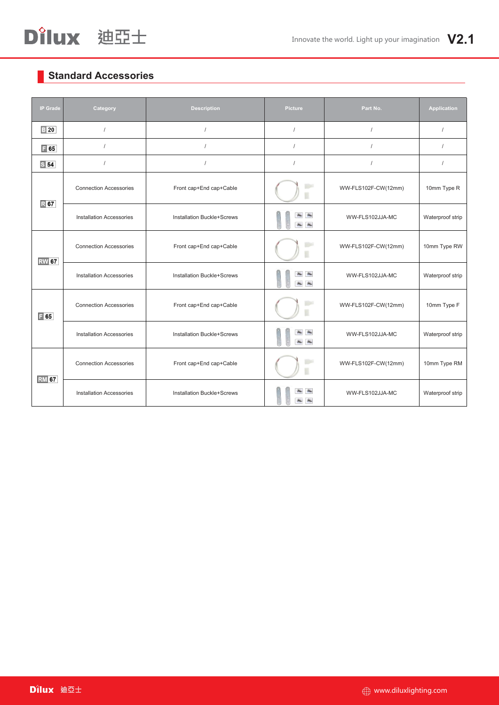### **Standard Accessories**

| <b>IP Grade</b> | Category                        | <b>Description</b>                | Picture                                                                                                                | Part No.            | Application      |
|-----------------|---------------------------------|-----------------------------------|------------------------------------------------------------------------------------------------------------------------|---------------------|------------------|
| $\boxed{3}$ 20  | $\prime$                        |                                   | $\prime$                                                                                                               | $\prime$            | $\prime$         |
| $\boxed{ }$ 65  | $\prime$                        |                                   | $\prime$                                                                                                               | $\prime$            | $\prime$         |
| S <sub>54</sub> | $\prime$                        | $\prime$                          | $\prime$                                                                                                               | $\prime$            | $\prime$         |
| $\mathbb{R}$ 67 | <b>Connection Accessories</b>   | Front cap+End cap+Cable           | <b>Tips</b>                                                                                                            | WW-FLS102F-CW(12mm) | 10mm Type R      |
|                 | <b>Installation Accessories</b> | <b>Installation Buckle+Screws</b> | $\blacktriangle$<br>a.<br>$\begin{array}{c c c c c} \hline \textbf{a} & \textbf{a} & \textbf{a} \\ \hline \end{array}$ | WW-FLS102JJA-MC     | Waterproof strip |
| <b>RW</b> 67    | <b>Connection Accessories</b>   | Front cap+End cap+Cable           |                                                                                                                        | WW-FLS102F-CW(12mm) | 10mm Type RW     |
|                 | <b>Installation Accessories</b> | <b>Installation Buckle+Screws</b> | $\blacktriangle$<br>a.<br>$\Delta \omega$<br>$\frac{1}{2}$                                                             | WW-FLS102JJA-MC     | Waterproof strip |
| $\boxed{=} 65$  | <b>Connection Accessories</b>   | Front cap+End cap+Cable           | <b>Line</b>                                                                                                            | WW-FLS102F-CW(12mm) | 10mm Type F      |
|                 | <b>Installation Accessories</b> | <b>Installation Buckle+Screws</b> | $\frac{1}{2}$<br>$\begin{array}{c c c c c} \hline \textbf{a} & \textbf{a} & \textbf{b} \\\hline \end{array}$           | WW-FLS102JJA-MC     | Waterproof strip |
| <b>RM</b> 67    | <b>Connection Accessories</b>   | Front cap+End cap+Cable           | W                                                                                                                      | WW-FLS102F-CW(12mm) | 10mm Type RM     |
|                 | <b>Installation Accessories</b> | <b>Installation Buckle+Screws</b> | $\frac{d\mathbf{x}}{d\mathbf{x}}$<br>a.<br>ä.<br>ik.                                                                   | WW-FLS102JJA-MC     | Waterproof strip |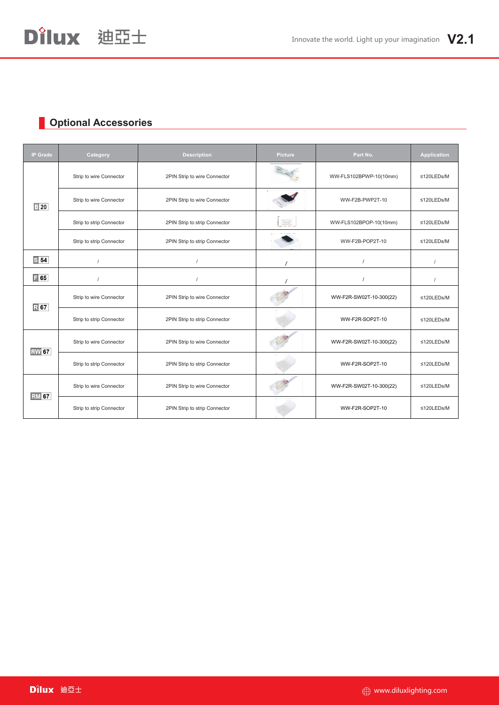### **Optional Accessories**

D'ilux 迪亞士

| <b>IP Grade</b> | Category                 | <b>Description</b>            | Picture                                                                                                                                                                                                                                                                                                                                                                                      | Part No.                | Application |
|-----------------|--------------------------|-------------------------------|----------------------------------------------------------------------------------------------------------------------------------------------------------------------------------------------------------------------------------------------------------------------------------------------------------------------------------------------------------------------------------------------|-------------------------|-------------|
| $\boxed{3}$ 20  | Strip to wire Connector  | 2PIN Strip to wire Connector  |                                                                                                                                                                                                                                                                                                                                                                                              | WW-FLS102BPWP-10(10mm)  | ≤120LEDs/M  |
|                 | Strip to wire Connector  | 2PIN Strip to wire Connector  |                                                                                                                                                                                                                                                                                                                                                                                              | WW-F2B-PWP2T-10         | ≤120LEDs/M  |
|                 | Strip to strip Connector | 2PIN Strip to strip Connector | $\frac{1}{2} \frac{1}{2} \frac{1}{2} \frac{1}{2} \frac{1}{2} \frac{1}{2} \frac{1}{2} \frac{1}{2} \frac{1}{2} \frac{1}{2} \frac{1}{2} \frac{1}{2} \frac{1}{2} \frac{1}{2} \frac{1}{2} \frac{1}{2} \frac{1}{2} \frac{1}{2} \frac{1}{2} \frac{1}{2} \frac{1}{2} \frac{1}{2} \frac{1}{2} \frac{1}{2} \frac{1}{2} \frac{1}{2} \frac{1}{2} \frac{1}{2} \frac{1}{2} \frac{1}{2} \frac{1}{2} \frac{$ | WW-FLS102BPOP-10(10mm)  | ≤120LEDs/M  |
|                 | Strip to strip Connector | 2PIN Strip to strip Connector |                                                                                                                                                                                                                                                                                                                                                                                              | WW-F2B-POP2T-10         | ≤120LEDs/M  |
| $S$ 54          |                          |                               |                                                                                                                                                                                                                                                                                                                                                                                              |                         |             |
| $\boxed{=} 65$  |                          |                               |                                                                                                                                                                                                                                                                                                                                                                                              |                         |             |
| <b>R67</b>      | Strip to wire Connector  | 2PIN Strip to wire Connector  |                                                                                                                                                                                                                                                                                                                                                                                              | WW-F2R-SW02T-10-300(22) | ≤120LEDs/M  |
|                 | Strip to strip Connector | 2PIN Strip to strip Connector |                                                                                                                                                                                                                                                                                                                                                                                              | WW-F2R-SOP2T-10         | ≤120LEDs/M  |
| <b>RW</b> 67    | Strip to wire Connector  | 2PIN Strip to wire Connector  |                                                                                                                                                                                                                                                                                                                                                                                              | WW-F2R-SW02T-10-300(22) | ≤120LEDs/M  |
|                 | Strip to strip Connector | 2PIN Strip to strip Connector |                                                                                                                                                                                                                                                                                                                                                                                              | WW-F2R-SOP2T-10         | ≤120LEDs/M  |
| <b>RM</b> 67    | Strip to wire Connector  | 2PIN Strip to wire Connector  |                                                                                                                                                                                                                                                                                                                                                                                              | WW-F2R-SW02T-10-300(22) | ≤120LEDs/M  |
|                 | Strip to strip Connector | 2PIN Strip to strip Connector |                                                                                                                                                                                                                                                                                                                                                                                              | WW-F2R-SOP2T-10         | ≤120LEDs/M  |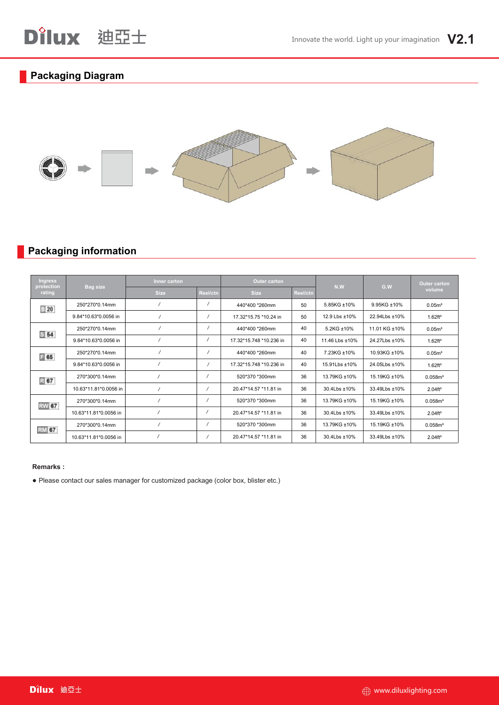#### **Packaging Diagram**



#### **Packaging information**

| <b>Ingress</b><br><b>Bag size</b><br>protection<br>rating |                       | Inner carton |          | Outer carton            |          | N.W            | G.W           | Outer carton         |
|-----------------------------------------------------------|-----------------------|--------------|----------|-------------------------|----------|----------------|---------------|----------------------|
|                                                           |                       | <b>Size</b>  | Reel/ctn | <b>Size</b>             | Reel/ctn |                |               | volume               |
| $\equiv 20$                                               | 250*270*0.14mm        |              |          | 440*400 *260mm          | 50       | 5.85KG ±10%    | 9.95KG ±10%   | 0.05m <sup>3</sup>   |
|                                                           | 9.84*10.63*0.0056 in  |              |          | 17.32*15.75 *10.24 in   | 50       | 12.9 Lbs ±10%  | 22.94Lbs ±10% | 1.62 ft <sup>3</sup> |
|                                                           | 250*270*0.14mm        |              |          | 440*400 *260mm          | 40       | 5.2KG ±10%     | 11.01 KG ±10% | 0.05 <sup>m</sup>    |
| \$54                                                      | 9.84*10.63*0.0056 in  |              |          | 17.32*15.748 *10.236 in | 40       | 11.46 Lbs ±10% | 24.27Lbs ±10% | 1.62 ft <sup>3</sup> |
| $\equiv$ 65                                               | 250*270*0.14mm        |              |          | 440*400 *260mm          | 40       | 7.23KG ±10%    | 10.93KG ±10%  | 0.05m <sup>3</sup>   |
|                                                           | 9.84*10.63*0.0056 in  |              |          | 17.32*15.748 *10.236 in | 40       | 15.91 Lbs ±10% | 24.05Lbs ±10% | 1.62 ft <sup>3</sup> |
| 民 67                                                      | 270*300*0.14mm        |              |          | 520*370 *300mm          | 36       | 13.79KG ±10%   | 15.19KG ±10%  | 0.058m <sup>3</sup>  |
|                                                           | 10.63*11.81*0.0056 in |              |          | 20.47*14.57 *11.81 in   | 36       | 30.4Lbs ±10%   | 33.49Lbs ±10% | 2.04 <sup>4</sup>    |
| RW 67                                                     | 270*300*0.14mm        |              |          | 520*370 *300mm          | 36       | 13.79KG ±10%   | 15.19KG ±10%  | 0.058m <sup>3</sup>  |
|                                                           | 10.63*11.81*0.0056 in |              |          | 20.47*14.57 *11.81 in   | 36       | 30.4Lbs ±10%   | 33.49Lbs ±10% | 2.04 <sup>4</sup>    |
| RM 67                                                     | 270*300*0.14mm        |              |          | 520*370 *300mm          | 36       | 13.79KG ±10%   | 15.19KG ±10%  | 0.058m <sup>3</sup>  |
|                                                           | 10.63*11.81*0.0056 in |              |          | 20.47*14.57 *11.81 in   | 36       | 30.4Lbs ±10%   | 33.49Lbs ±10% | 2.04 <sup>4</sup>    |

#### **Remarks :**

● Please contact our sales manager for customized package (color box, blister etc.)